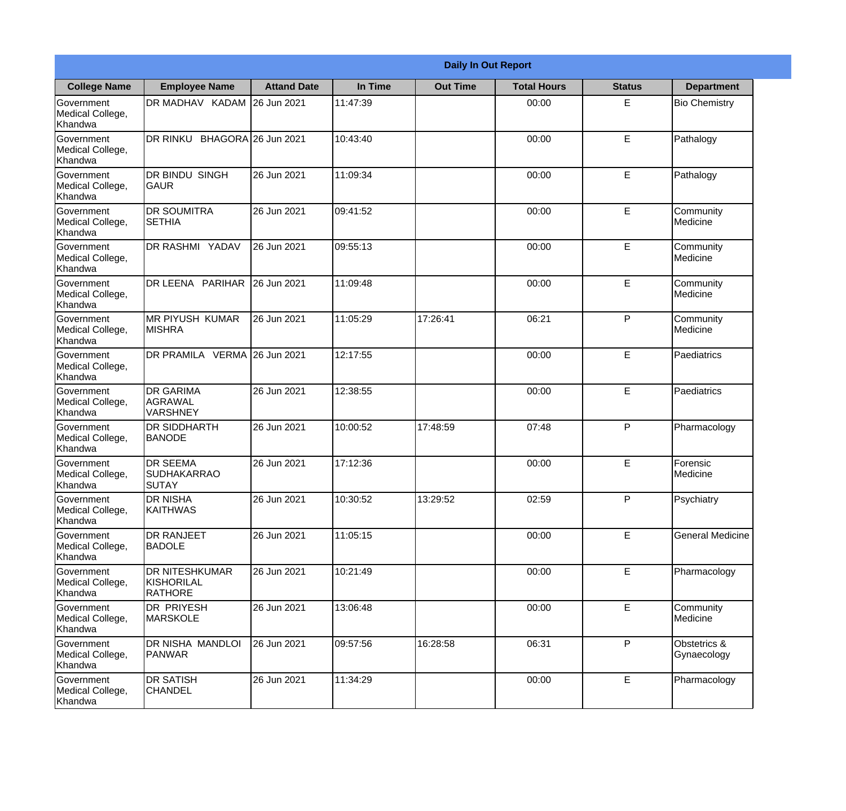|                                           | <b>Daily In Out Report</b>                            |                     |          |                 |                    |               |                             |
|-------------------------------------------|-------------------------------------------------------|---------------------|----------|-----------------|--------------------|---------------|-----------------------------|
| <b>College Name</b>                       | <b>Employee Name</b>                                  | <b>Attand Date</b>  | In Time  | <b>Out Time</b> | <b>Total Hours</b> | <b>Status</b> | <b>Department</b>           |
| Government<br>Medical College,<br>Khandwa | DR MADHAV KADAM                                       | 26 Jun 2021         | 11:47:39 |                 | 00:00              | E             | <b>Bio Chemistry</b>        |
| Government<br>Medical College,<br>Khandwa | DR RINKU                                              | BHAGORA 26 Jun 2021 | 10:43:40 |                 | 00:00              | E             | Pathalogy                   |
| Government<br>Medical College,<br>Khandwa | DR BINDU SINGH<br><b>GAUR</b>                         | 26 Jun 2021         | 11:09:34 |                 | 00:00              | E             | Pathalogy                   |
| Government<br>Medical College,<br>Khandwa | <b>DR SOUMITRA</b><br><b>SETHIA</b>                   | 26 Jun 2021         | 09:41:52 |                 | 00:00              | E             | Community<br>Medicine       |
| Government<br>Medical College,<br>Khandwa | DR RASHMI YADAV                                       | 26 Jun 2021         | 09:55:13 |                 | 00:00              | E             | Community<br>Medicine       |
| Government<br>Medical College,<br>Khandwa | DR LEENA PARIHAR                                      | 26 Jun 2021         | 11:09:48 |                 | 00:00              | E             | Community<br>Medicine       |
| Government<br>Medical College,<br>Khandwa | <b>MR PIYUSH KUMAR</b><br><b>MISHRA</b>               | 26 Jun 2021         | 11:05:29 | 17:26:41        | 06:21              | P             | Community<br>Medicine       |
| Government<br>Medical College,<br>Khandwa | DR PRAMILA VERMA                                      | 26 Jun 2021         | 12:17:55 |                 | 00:00              | E             | Paediatrics                 |
| Government<br>Medical College,<br>Khandwa | <b>DR GARIMA</b><br>AGRAWAL<br><b>VARSHNEY</b>        | 26 Jun 2021         | 12:38:55 |                 | 00:00              | E             | Paediatrics                 |
| Government<br>Medical College,<br>Khandwa | <b>DR SIDDHARTH</b><br><b>BANODE</b>                  | 26 Jun 2021         | 10:00:52 | 17:48:59        | 07:48              | P             | Pharmacology                |
| Government<br>Medical College,<br>Khandwa | <b>DR SEEMA</b><br><b>SUDHAKARRAO</b><br><b>SUTAY</b> | 26 Jun 2021         | 17:12:36 |                 | 00:00              | E             | Forensic<br>Medicine        |
| Government<br>Medical College,<br>Khandwa | <b>DR NISHA</b><br>KAITHWAS                           | 26 Jun 2021         | 10:30:52 | 13:29:52        | 02:59              | P             | Psychiatry                  |
| Government<br>Medical College,<br>Khandwa | <b>DR RANJEET</b><br><b>BADOLE</b>                    | 26 Jun 2021         | 11:05:15 |                 | 00:00              | E             | <b>General Medicine</b>     |
| Government<br>Medical College,<br>Khandwa | <b>DR NITESHKUMAR</b><br><b>KISHORILAL</b><br>RATHORE | 26 Jun 2021         | 10:21:49 |                 | 00:00              | E             | Pharmacology                |
| Government<br>Medical College,<br>Khandwa | <b>DR PRIYESH</b><br>MARSKOLE                         | 26 Jun 2021         | 13:06:48 |                 | 00:00              | E             | Community<br>Medicine       |
| Government<br>Medical College,<br>Khandwa | DR NISHA MANDLOI<br>PANWAR                            | 26 Jun 2021         | 09:57:56 | 16:28:58        | 06:31              | P             | Obstetrics &<br>Gynaecology |
| Government<br>Medical College,<br>Khandwa | <b>DR SATISH</b><br><b>CHANDEL</b>                    | 26 Jun 2021         | 11:34:29 |                 | 00:00              | E             | Pharmacology                |